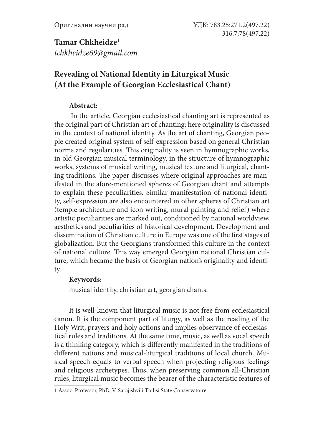**Tamar Chkheidze1** *tchkheidze69@gmail.com*

# **Revealing of National Identity in Liturgical Music (At the Example of Georgian Ecclesiastical Chant)**

# **Abstract:**

 In the article, Georgian ecclesiastical chanting art is represented as the original part of Christian art of chanting; here originality is discussed in the context of national identity. As the art of chanting, Georgian people created original system of self-expression based on general Christian norms and regularities. This originality is seen in hymnographic works, in old Georgian musical terminology, in the structure of hymnographic works, systems of musical writing, musical texture and liturgical, chanting traditions. The paper discusses where original approaches are manifested in the afore-mentioned spheres of Georgian chant and attempts to explain these peculiarities. Similar manifestation of national identity, self-expression are also encountered in other spheres of Christian art (temple architecture and icon writing, mural painting and relief) where artistic peculiarities are marked out, conditioned by national worldview, aesthetics and peculiarities of historical development. Development and dissemination of Christian culture in Europe was one of the first stages of globalization. But the Georgians transformed this culture in the context of national culture. This way emerged Georgian national Christian culture, which became the basis of Georgian nation's originality and identity.

# **Keywords:**

musical identity, christian art, georgian chants.

It is well-known that liturgical music is not free from ecclesiastical canon. It is the component part of liturgy, as well as the reading of the Holy Writ, prayers and holy actions and implies observance of ecclesiastical rules and traditions. At the same time, music, as well as vocal speech is a thinking category, which is differently manifested in the traditions of different nations and musical-liturgical traditions of local church. Musical speech equals to verbal speech when projecting religious feelings and religious archetypes. Thus, when preserving common all-Christian rules, liturgical music becomes the bearer of the characteristic features of

<sup>1</sup> Assoc. Professor, PhD, V. Sarajishvili Tbilisi State Conservatoire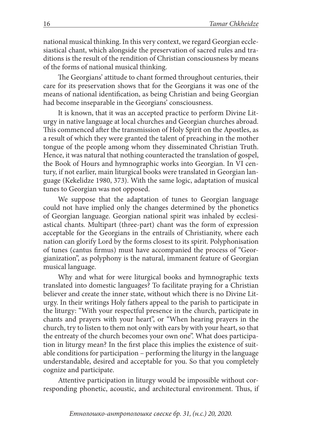national musical thinking. In this very context, we regard Georgian ecclesiastical chant, which alongside the preservation of sacred rules and traditions is the result of the rendition of Christian consciousness by means of the forms of national musical thinking.

The Georgians' attitude to chant formed throughout centuries, their care for its preservation shows that for the Georgians it was one of the means of national identification, as being Christian and being Georgian had become inseparable in the Georgians' consciousness.

It is known, that it was an accepted practice to perform Divine Liturgy in native language at local churches and Georgian churches abroad. This commenced after the transmission of Holy Spirit on the Apostles, as a result of which they were granted the talent of preaching in the mother tongue of the people among whom they disseminated Christian Truth. Hence, it was natural that nothing counteracted the translation of gospel, the Book of Hours and hymnographic works into Georgian. In VI century, if not earlier, main liturgical books were translated in Georgian language (Kekelidze 1980, 373). With the same logic, adaptation of musical tunes to Georgian was not opposed.

We suppose that the adaptation of tunes to Georgian language could not have implied only the changes determined by the phonetics of Georgian language. Georgian national spirit was inhaled by ecclesiastical chants. Multipart (three-part) chant was the form of expression acceptable for the Georgians in the entrails of Christianity, where each nation can glorify Lord by the forms closest to its spirit. Polyphonisation of tunes (cantus firmus) must have accompanied the process of "Georgianization", as polyphony is the natural, immanent feature of Georgian musical language.

Why and what for were liturgical books and hymnographic texts translated into domestic languages? To facilitate praying for a Christian believer and create the inner state, without which there is no Divine Liturgy. In their writings Holy fathers appeal to the parish to participate in the liturgy: "With your respectful presence in the church, participate in chants and prayers with your heart", or "When hearing prayers in the church, try to listen to them not only with ears by with your heart, so that the entreaty of the church becomes your own one". What does participation in liturgy mean? In the first place this implies the existence of suitable conditions for participation – performing the liturgy in the language understandable, desired and acceptable for you. So that you completely cognize and participate.

Attentive participation in liturgy would be impossible without corresponding phonetic, acoustic, and architectural environment. Thus, if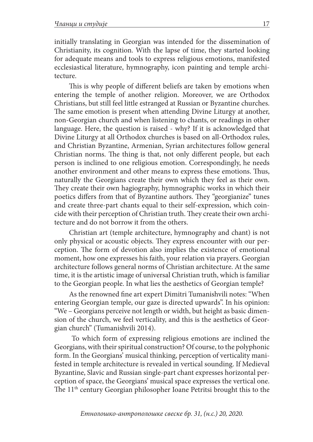initially translating in Georgian was intended for the dissemination of Christianity, its cognition. With the lapse of time, they started looking for adequate means and tools to express religious emotions, manifested ecclesiastical literature, hymnography, icon painting and temple architecture.

This is why people of different beliefs are taken by emotions when entering the temple of another religion. Moreover, we are Orthodox Christians, but still feel little estranged at Russian or Byzantine churches. The same emotion is present when attending Divine Liturgy at another, non-Georgian church and when listening to chants, or readings in other language. Here, the question is raised - why? If it is acknowledged that Divine Liturgy at all Orthodox churches is based on all-Orthodox rules, and Christian Byzantine, Armenian, Syrian architectures follow general Christian norms. The thing is that, not only different people, but each person is inclined to one religious emotion. Correspondingly, he needs another environment and other means to express these emotions. Thus, naturally the Georgians create their own which they feel as their own. They create their own hagiography, hymnographic works in which their poetics differs from that of Byzantine authors. They "georgianize" tunes and create three-part chants equal to their self-expression, which coincide with their perception of Christian truth. They create their own architecture and do not borrow it from the others.

Christian art (temple architecture, hymnography and chant) is not only physical or acoustic objects. They express encounter with our perception. The form of devotion also implies the existence of emotional moment, how one expresses his faith, your relation via prayers. Georgian architecture follows general norms of Christian architecture. At the same time, it is the artistic image of universal Christian truth, which is familiar to the Georgian people. In what lies the aesthetics of Georgian temple?

As the renowned fine art expert Dimitri Tumanishvili notes: "When entering Georgian temple, our gaze is directed upwards". In his opinion: "We – Georgians perceive not length or width, but height as basic dimension of the church, we feel verticality, and this is the aesthetics of Georgian church" (Tumanishvili 2014).

 To which form of expressing religious emotions are inclined the Georgians, with their spiritual construction? Of course, to the polyphonic form. In the Georgians' musical thinking, perception of verticality manifested in temple architecture is revealed in vertical sounding. If Medieval Byzantine, Slavic and Russian single-part chant expresses horizontal perception of space, the Georgians' musical space expresses the vertical one. The 11<sup>th</sup> century Georgian philosopher Ioane Petritsi brought this to the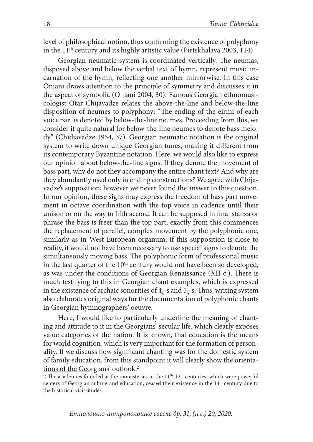level of philosophical notion, thus confirming the existence of polyphony in the 11<sup>th</sup> century and its highly artistic value (Pirtskhalava 2003, 114)

Georgian neumatic system is coordinated vertically. The neumas, disposed above and below the verbal text of hymn, represent music incarnation of the hymn, reflecting one another mirrorwise. In this case Oniani draws attention to the principle of symmetry and discusses it in the aspect of symbolic (Oniani 2004, 30). Famous Georgian ethnomusicologist Otar Chijavadze relates the above-the-line and below-the-line disposition of neumes to polyphony: "The ending of the eirmi of each voice part is denoted by below-the-line neumes. Proceeding from this, we consider it quite natural for below-the-line neumes to denote bass melody" (Chidjavadze 1954, 37). Georgian neumatic notation is the original system to write down unique Georgian tunes, making it different from its contemporary Byzantine notation. Here, we would also like to express our opinion about below-the-line signs. If they denote the movement of bass part, why do not they accompany the entire chant text? And why are they abundantly used only in ending constructions? We agree with Chijavadze's supposition; however we never found the answer to this question. In our opinion, these signs may express the freedom of bass part movement in octave coordination with the top voice in cadence until their unison or on the way to fifth accord. It can be supposed in final stanza or phrase the bass is freer than the top part, exactly from this commences the replacement of parallel, complex movement by the polyphonic one, similarly as in West European organum; if this supposition is close to reality, it would not have been necessary to use special signs to denote the simultaneously moving bass. The polyphonic form of professional music in the last quarter of the 10<sup>th</sup> century would not have been so developed, as was under the conditions of Georgian Renaissance (XII c.). There is much testifying to this in Georgian chant examples, which is expressed in the existence of archaic sonorities of  $4<sub>8</sub>$ -s and  $5<sub>9</sub>$ -s. Thus, writing system also elaborates original ways for the documentation of polyphonic chants in Georgian hymnographers' oeuvre.

Here, I would like to particularly underline the meaning of chanting and attitude to it in the Georgians' secular life, which clearly exposes value categories of the nation. It is known, that education is the means for world cognition, which is very important for the formation of personality. If we discuss how significant chanting was for the domestic system of family education, from this standpoint it will clearly show the orientations of the Georgians' outlook.2

2 The academies founded at the monasteries in the  $11<sup>th</sup>$ - $12<sup>th</sup>$  centuries, which were powerful centers of Georgian culture and education, ceased their existence in the 14<sup>th</sup> century due to the historical vicissitudes.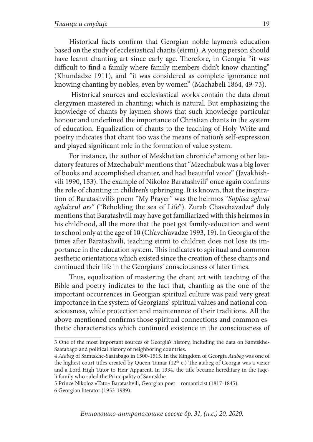Historical facts confirm that Georgian noble laymen's education based on the study of ecclesiastical chants (eirmi). A young person should have learnt chanting art since early age. Therefore, in Georgia "it was difficult to find a family where family members didn't know chanting" (Khundadze 1911), and "it was considered as complete ignorance not knowing chanting by nobles, even by women" (Machabeli 1864, 49-73).

Historical sources and ecclesiastical works contain the data about clergymen mastered in chanting; which is natural. But emphasizing the knowledge of chants by laymen shows that such knowledge particular honour and underlined the importance of Christian chants in the system of education. Equalization of chants to the teaching of Holy Write and poetry indicates that chant too was the means of nation's self-expression and played significant role in the formation of value system.

For instance, the author of Meskhetian chronicle<sup>3</sup> among other laudatory features of Mzechabuk $^4$  mentions that "Mzechabuk was a big lover of books and accomplished chanter, and had beautiful voice" (Javakhishvili 1990, 153). The example of Nikoloz Baratashvili<sup>5</sup> once again confirms the role of chanting in children's upbringing. It is known, that the inspiration of Baratashvili's poem "My Prayer" was the heirmos "*Soplisa zghvai aghdzrul ars*" ("Beholding the sea of Life"). Zurab Chavchavadze<sup>6</sup> duly mentions that Baratashvili may have got familiarized with this heirmos in his childhood, all the more that the poet got family-education and went to school only at the age of 10 (Ch'avch'avadze 1993, 19). In Georgia of the times after Baratashvili, teaching eirmi to children does not lose its importance in the education system. This indicates to spiritual and common aesthetic orientations which existed since the creation of these chants and continued their life in the Georgians' consciousness of later times.

Thus, equalization of mastering the chant art with teaching of the Bible and poetry indicates to the fact that, chanting as the one of the important occurrences in Georgian spiritual culture was paid very great importance in the system of Georgians' spiritual values and national consciousness, while protection and maintenance of their traditions. All the above-mentioned confirms those spiritual connections and common esthetic characteristics which continued existence in the consciousness of

<sup>3</sup> One of the most important sources of Georgia's history, including the data on Samtskhe-Saatabago and political history of neighboring countries.

<sup>4</sup> *Atabeg* of Samtskhe-Saatabago in 1500-1515. In the Kingdom of Georgia *Atabeg* was one of the highest court titles created by Queen Tamar  $(12<sup>th</sup> c)$ . The atabeg of Georgia was a vizier and a Lord High Tutor to Heir Apparent. In 1334, the title became hereditary in the Jaqeli family who ruled the Principality of Samtskhe.

<sup>5</sup> Prince Nikoloz «Tato» Baratashvili, Georgian poet – romanticist (1817-1845).

<sup>6</sup> Georgian literator (1953-1989).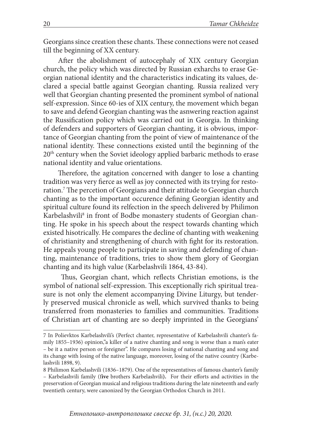Georgians since creation these chants. These connections were not ceased till the beginning of XX century.

After the abolishment of autocephaly of XIX century Georgian church, the policy which was directed by Russian exharchs to erase Georgian national identity and the characteristics indicating its values, declared a special battle against Georgian chanting. Russia realized very well that Georgian chanting presented the prominent symbol of national self-expression. Since 60-ies of XIX century, the movement which began to save and defend Georgian chanting was the asnwering reaction against the Russification policy which was carried out in Georgia. In thinking of defenders and supporters of Georgian chanting, it is obvious, importance of Georgian chanting from the point of view of maintenance of the national identity. These connections existed until the beginning of the 20<sup>th</sup> century when the Soviet ideology applied barbaric methods to erase national identity and value orientations.

Therefore, the agitation concerned with danger to lose a chanting tradition was very fierce as well as joy connected with its trying for restoration.7 The percetion of Georgians and their attitude to Georgian church chanting as to the important occurence defining Georgian identity and spiritual culture found its relfection in the speech delivered by Philimon Karbelashvili<sup>8</sup> in front of Bodbe monastery students of Georgian chanting. He spoke in his speech about the respect towards chanting which existed hisotrically. He compares the decline of chanting with weakening of christianity and strengthening of church with fight for its restoration. He appeals young people to participate in saving and defending of chanting, maintenance of traditions, tries to show them glory of Georgian chanting and its high value (Karbelashvili 1864, 43-84).

 Thus, Georgian chant, which reflects Christian emotions, is the symbol of national self-expression. This exceptionally rich spiritual treasure is not only the element accompanying Divine Liturgy, but tenderly preserved musical chronicle as well, which survived thanks to being transferred from monasteries to families and communities. Traditions of Christian art of chanting are so deeply imprinted in the Georgians'

<sup>7</sup> In Polievktos Karbelashvili's (Perfect chanter, representative of Karbelashvili chanter's family 1855–1936) opinion,"a killer of a native chanting and song is worse than a man's eater – be it a native person or foreigner". He compares losing of national chanting and song and its change with losing of the native language, moreover, losing of the native country (Karbelashvili 1898, 9).

<sup>8</sup> Philimon Karbelashvili (1836–1879). One of the representatives of famous chanter's family – Karbelashvili family (f**ive** brothers Karbelashvili**).** For their efforts and activities in the preservation of Georgian musical and religious traditions during the late nineteenth and early twentieth century, were canonized by the Georgian Orthodox Church in 2011.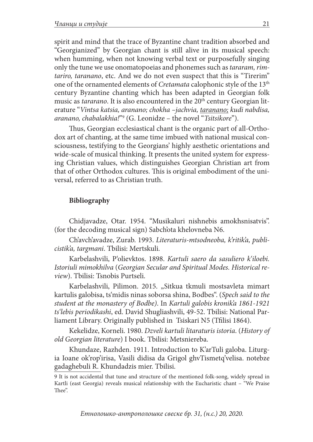spirit and mind that the trace of Byzantine chant tradition absorbed and "Georgianized" by Georgian chant is still alive in its musical speech: when humming, when not knowing verbal text or purposefully singing only the tune we use onomatopoeias and phonemes such as *tararam, rimtariro, taranano*, etc. And we do not even suspect that this is "Tirerim" one of the ornamented elements of *Cretamata* calophonic style of the 13th century Byzantine chanting which has been adapted in Georgian folk music as *tararano*. It is also encountered in the 20<sup>th</sup> century Georgian literature "*Vintsa katsia, aranano; chokha –jachvia, taranano; kudi nabdisa, aranano, chabalakhia!*"9 (G. Leonidze – the novel "*Tsitsikore*").

Thus, Georgian ecclesiastical chant is the organic part of all-Orthodox art of chanting, at the same time imbued with national musical consciousness, testifying to the Georgians' highly aesthetic orientations and wide-scale of musical thinking. It presents the united system for expressing Christian values, which distinguishes Georgian Christian art from that of other Orthodox cultures. This is original embodiment of the universal, referred to as Christian truth.

#### **Bibliography**

Chidjavadze, Otar. 1954. "Musikaluri nishnebis amokhsnisatvis". (for the decoding musical sign) Sabch'ota khelovneba N6.

Ch'avch'avadze, Zurab. 1993. *Literaturis-mtsodneoba, k'ritik'a, publicistik'a, targmani*. Tbilisi: Mertskuli.

Karbelashvili, P'olievktos. 1898. *Kartuli saero da sasuliero k'iloebi. Istoriuli mimokhilva* (*Georgian Secular and Spiritual Modes. Historical review*). Tbilisi: Tsnobis Purtseli.

Karbelashvili, Pilimon. 2015. "Sitkua tkmuli mostsavleta mimart kartulis galobisa, ts'midis ninas soborsa shina, Bodbes". (*Spech said to the student at the monastery of Bodbe)*. In *Kartuli galobis kronik'a 1861-1921 ts'lebis periodikashi*, ed. David Shugliashvili, 49-52. Tbilisi: National Parliament Library. Originally published in Tsiskari N5 (Tfilisi 1864).

Kekelidze, Korneli. 1980. *Dzveli kartuli litaraturis istoria*. (*History of old Georgian literature*) I book. Tbilisi: Metsniereba.

Khundaze, Razhden. 1911. Introduction to K'arTuli galoba. Liturgia Ioane ok'rop'irisa, Vasili didisa da Grigol ghvTismetq'velisa. notebze gadaghebuli R. Khundadzis mier. Tbilisi.

<sup>9</sup> It is not accidental that tune and structure of the mentioned folk-song, widely spread in Kartli (east Georgia) reveals musical relationship with the Eucharistic chant – "We Praise Thee".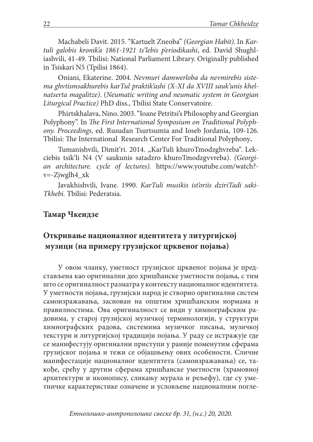Machabeli Davit. 2015. "Kartuelt Zneoba" *(Georgian Habit)*. In *Kartuli galobis kronik'a 1861-1921 ts'lebis p'eriodikashi*, ed. David Shughliashvili, 41-49. Tbilisi: National Parliament Library. Originally published in Tsiskari N5 (Tpilisi 1864).

Oniani, Ekaterine. 2004. *Nevmuri damwerloba da nevmirebis sistema ghvtismsakhurebis karTul praktik'ashi (X-XI da XVIII sauk'unis khelnatserta magalitze)*. (*Neumatic writing and neumatic system in Georgian Liturgical Practice)* PhD diss., Tbilisi State Conservatoire.

Phirtskhalava, Nino. 2003. "Ioane Petritsi's Philosophy and Georgian Polyphony". In *The First International Symposium on Traditional Polyphony. Proceedings*, ed. Rusudan Tsurtsumia and Ioseb Jordania, 109-126. Tbilisi: The International Research Center For Traditional Polyphony**.**

Tumanishvili, Dimit'ri. 2014. "KarTuli khuroTmodzghvreba". Lekciebis tsik'li N4 (V saukunis satadzro khuroTmodzgvvreba). *(Georgian architecture. cycle of lectures).* https://www.youtube.com/watch? v=-Zjwglh4\_xk

Javakhishvili, Ivane. 1990. *KarTuli musikis ist'oriis dziriTadi saki-Tkhebi.* Tbilisi: Pederatsia.

# **Taмар Чкеидзе**

# **Откривање националног идентитета у литургијској музици (на примеру грузијског црквеног појања)**

У овом чланку, уметност грузијског црквеног појања је представљена као оригинални део хришћанске уметности појања, с тим што се оригиналност разматра у контексту националног идентитета. У уметности појања, грузијски народ је створио оригинални систем самоизражавања, заснован на општим хришћанским нормама и правилностима. Ова оригиналност се види у химнографским радовима, у старој грузијској музичкој терминологији, у структури химнографских радова, системима музичког писања, музичкој текстури и литургијској традицији појања. У раду се истражује где се манифестују оригинални приступи у раније поменутим сферама грузијског појања и тежи се објашњењу ових особености. Сличне манифестације националног идентитета (самоизражавања) се, такође, срећу у другим сферама хришћанске уметности (храмовној архитектури и иконопису, сликању мурала и рељефу), где су уметничке карактеристике означене и условљене националним погле